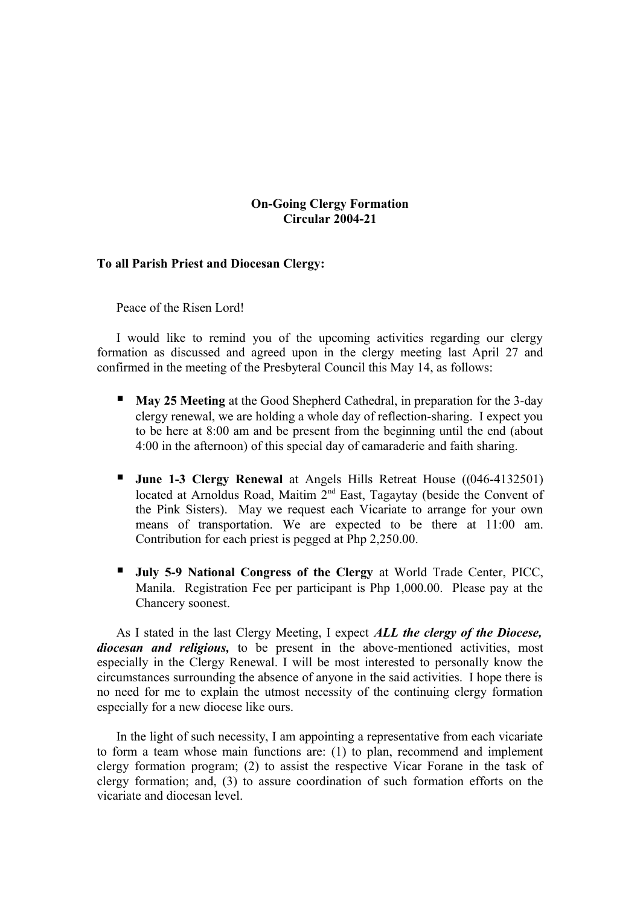## **On-Going Clergy Formation Circular 2004-21**

## **To all Parish Priest and Diocesan Clergy:**

Peace of the Risen Lord!

I would like to remind you of the upcoming activities regarding our clergy formation as discussed and agreed upon in the clergy meeting last April 27 and confirmed in the meeting of the Presbyteral Council this May 14, as follows:

- **May 25 Meeting** at the Good Shepherd Cathedral, in preparation for the 3-day clergy renewal, we are holding a whole day of reflection-sharing. I expect you to be here at 8:00 am and be present from the beginning until the end (about 4:00 in the afternoon) of this special day of camaraderie and faith sharing.
- **June 1-3 Clergy Renewal** at Angels Hills Retreat House ((046-4132501) located at Arnoldus Road, Maitim  $2<sup>nd</sup>$  East, Tagaytay (beside the Convent of the Pink Sisters). May we request each Vicariate to arrange for your own means of transportation. We are expected to be there at 11:00 am. Contribution for each priest is pegged at Php 2,250.00.
- **July 5-9 National Congress of the Clergy** at World Trade Center, PICC, Manila. Registration Fee per participant is Php 1,000.00. Please pay at the Chancery soonest.

As I stated in the last Clergy Meeting, I expect *ALL the clergy of the Diocese, diocesan and religious,* to be present in the above-mentioned activities, most especially in the Clergy Renewal. I will be most interested to personally know the circumstances surrounding the absence of anyone in the said activities. I hope there is no need for me to explain the utmost necessity of the continuing clergy formation especially for a new diocese like ours.

In the light of such necessity, I am appointing a representative from each vicariate to form a team whose main functions are: (1) to plan, recommend and implement clergy formation program; (2) to assist the respective Vicar Forane in the task of clergy formation; and, (3) to assure coordination of such formation efforts on the vicariate and diocesan level.